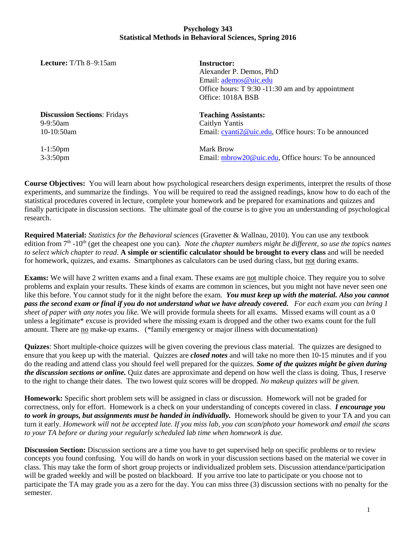## **Psychology 343 Statistical Methods in Behavioral Sciences, Spring 2016**

| <b>Lecture:</b> T/Th $8-9:15$ am                                 | <b>Instructor:</b><br>Alexander P. Demos, PhD<br>Email: ademos@uic.edu<br>Office hours: T 9:30 -11:30 am and by appointment<br>Office: 1018A BSB |  |
|------------------------------------------------------------------|--------------------------------------------------------------------------------------------------------------------------------------------------|--|
| <b>Discussion Sections: Fridays</b><br>$9-9:50$ am<br>10-10:50am | <b>Teaching Assistants:</b><br>Caitlyn Yantis<br>Email: cyanti2@uic.edu, Office hours: To be announced                                           |  |
| $1 - 1:50$ pm                                                    | Mark Brow                                                                                                                                        |  |

3-3:50pm

**Course Objectives:** You will learn about how psychological researchers design experiments, interpret the results of those experiments, and summarize the findings. You will be required to read the assigned readings, know how to do each of the statistical procedures covered in lecture, complete your homework and be prepared for examinations and quizzes and finally participate in discussion sections. The ultimate goal of the course is to give you an understanding of psychological research.

Email: [mbrow20@uic.edu,](mailto:mbrow20@uic.edu) Office hours: To be announced

**Required Material:** *Statistics for the Behavioral sciences* (Gravetter & Wallnau, 2010). You can use any textbook edition from 7<sup>th</sup> -10<sup>th</sup> (get the cheapest one you can). *Note the chapter numbers might be different, so use the topics names to select which chapter to read*. **A simple or scientific calculator should be brought to every class** and will be needed for homework, quizzes, and exams. Smartphones as calculators can be used during class, but not during exams.

**Exams:** We will have 2 written exams and a final exam. These exams are not multiple choice. They require you to solve problems and explain your results. These kinds of exams are common in sciences, but you might not have never seen one like this before. You cannot study for it the night before the exam. *You must keep up with the material. Also you cannot pass the second exam or final if you do not understand what we have already covered. For each exam you can bring 1 sheet of paper with any notes you like.* We will provide formula sheets for all exams. Missed exams will count as a 0 unless a legitimate\* excuse is provided where the missing exam is dropped and the other two exams count for the full amount. There are no make-up exams. (\*family emergency or major illness with documentation)

**Quizzes**: Short multiple-choice quizzes will be given covering the previous class material. The quizzes are designed to ensure that you keep up with the material. Quizzes are *closed notes* and will take no more then 10-15 minutes and if you do the reading and attend class you should feel well prepared for the quizzes*. Some of the quizzes might be given during the discussion sections or online.* Quiz dates are approximate and depend on how well the class is doing. Thus, I reserve to the right to change their dates. The two lowest quiz scores will be dropped. *No makeup quizzes will be given.*

**Homework:** Specific short problem sets will be assigned in class or discussion. Homework will not be graded for correctness, only for effort. Homework is a check on your understanding of concepts covered in class. *I encourage you to work in groups, but assignments must be handed in individually.* Homework should be given to your TA and you can turn it early. *Homework will not be accepted late. If you miss lab, you can scan/photo your homework and email the scans to your TA before or during your regularly scheduled lab time when homework is due.* 

**Discussion Section:** Discussion sections are a time you have to get supervised help on specific problems or to review concepts you found confusing. You will do hands on work in your discussion sections based on the material we cover in class. This may take the form of short group projects or individualized problem sets. Discussion attendance/participation will be graded weekly and will be posted on blackboard. If you arrive too late to participate or you choose not to participate the TA may grade you as a zero for the day. You can miss three (3) discussion sections with no penalty for the semester.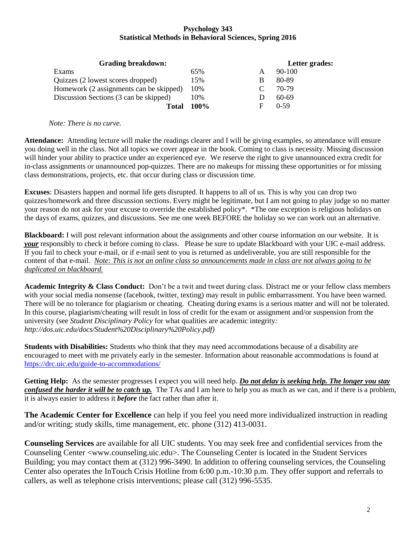## **Psychology 343 Statistical Methods in Behavioral Sciences, Spring 2016**

| <b>Grading breakdown:</b>               |      | Letter grades: |          |  |
|-----------------------------------------|------|----------------|----------|--|
| Exams                                   | 65%  | A              | $90-100$ |  |
| Quizzes (2 lowest scores dropped)       | 15%  | B              | 80-89    |  |
| Homework (2 assignments can be skipped) | 10%  | $\Gamma$       | 70-79    |  |
| Discussion Sections (3 can be skipped)  | 10%  |                | 60-69    |  |
| Total                                   | 100% | F              | $0-59$   |  |

*Note: There is no curve.* 

**Attendance:** Attending lecture will make the readings clearer and I will be giving examples, so attendance will ensure you doing well in the class. Not all topics we cover appear in the book. Coming to class is necessity. Missing discussion will hinder your ability to practice under an experienced eye. We reserve the right to give unannounced extra credit for in-class assignments or unannounced pop-quizzes. There are no makeups for missing these opportunities or for missing class demonstrations, projects, etc. that occur during class or discussion time.

**Excuses**: Disasters happen and normal life gets disrupted. It happens to all of us. This is why you can drop two quizzes/homework and three discussion sections. Every might be legitimate, but I am not going to play judge so no matter your reason do not ask for your excuse to override the established policy\*. \*The one exception is religious holidays on the days of exams, quizzes, and discussions. See me one week BEFORE the holiday so we can work out an alternative.

**Blackboard:** I will post relevant information about the assignments and other course information on our website. It is *your* responsibly to check it before coming to class. Please be sure to update Blackboard with your UIC e-mail address. If you fail to check your e-mail, or if e-mail sent to you is returned as undeliverable, you are still responsible for the content of that e-mail. *Note: This is not an online class so announcements made in class are not always going to be duplicated on blackboard.* 

**Academic Integrity & Class Conduct:** Don't be a twit and tweet during class. Distract me or your fellow class members with your social media nonsense (facebook, twitter, texting) may result in public embarrassment. You have been warned. There will be no tolerance for plagiarism or cheating. Cheating during exams is a serious matter and will not be tolerated. In this course, plagiarism/cheating will result in loss of credit for the exam or assignment and/or suspension from the university (see *Student Disciplinary Policy* for what qualities are academic integrity*: http://dos.uic.edu/docs/Student%20Disciplinary%20Policy.pdf)*

**Students with Disabilities:** Students who think that they may need accommodations because of a disability are encouraged to meet with me privately early in the semester. Information about reasonable accommodations is found at <https://drc.uic.edu/guide-to-accommodations/>

**Getting Help:** As the semester progresses I expect you will need help. *Do not delay is seeking help. The longer you stay confused the harder it will be to catch up.* The TAs and I am here to help you as much as we can, and if there is a problem, it is always easier to address it *before* the fact rather than after it.

**The Academic Center for Excellence** can help if you feel you need more individualized instruction in reading and/or writing; study skills, time management, etc. phone (312) 413-0031.

**Counseling Services** are available for all UIC students. You may seek free and confidential services from the Counseling Center <www.counseling.uic.edu>. The Counseling Center is located in the Student Services Building; you may contact them at (312) 996-3490. In addition to offering counseling services, the Counseling Center also operates the InTouch Crisis Hotline from 6:00 p.m.-10:30 p.m. They offer support and referrals to callers, as well as telephone crisis interventions; please call (312) 996-5535.